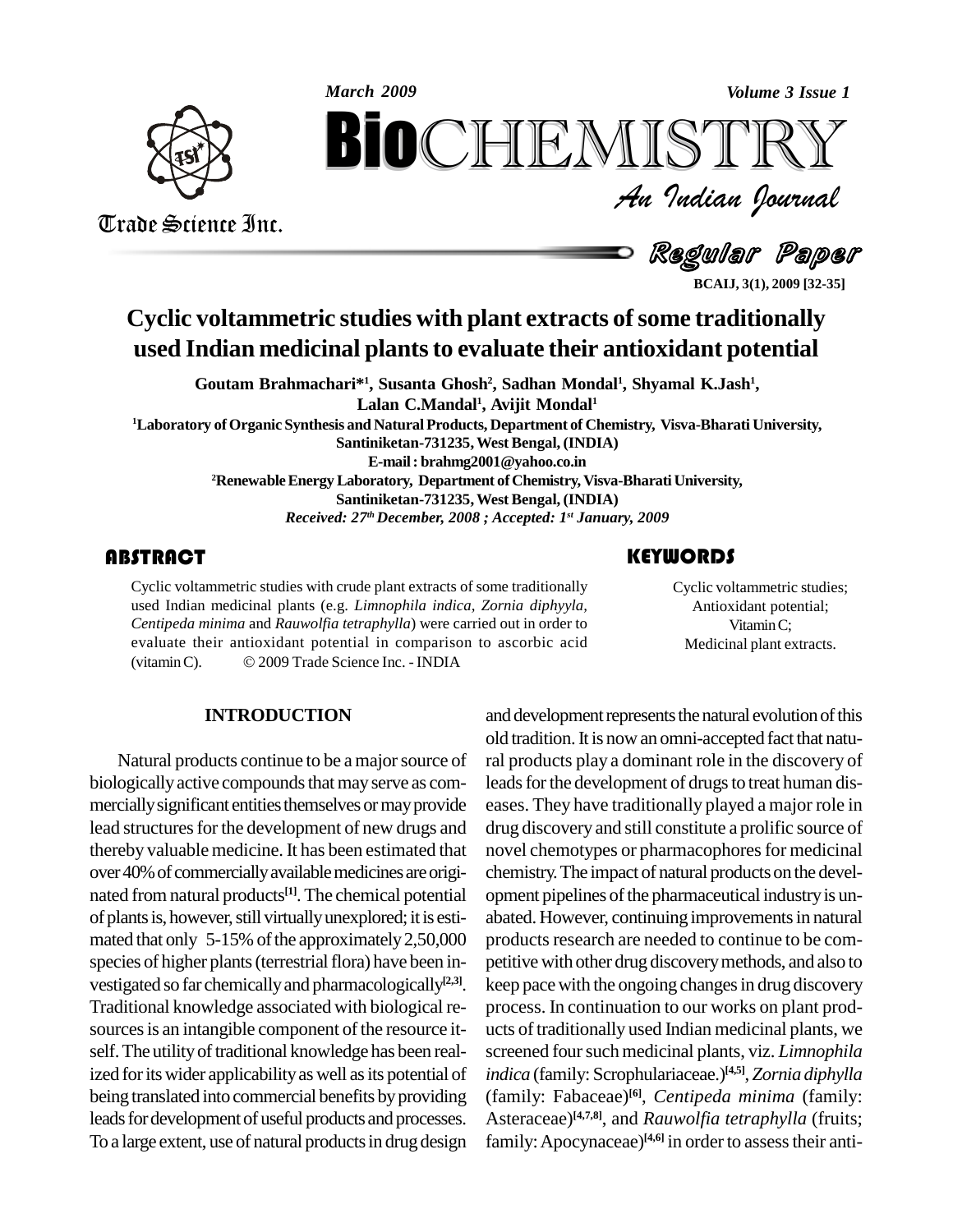

Trade Science Inc. Trade Science Inc.

*Volume 3 Issue 1*<br> $\begin{array}{c} \bigcirc \mathbb{T} \mathbb{R} \mathbb{Y} \ \mathcal{I} \end{array}$ **BioCHEMISTRY**<br> *Au Indian Journal*<br>
Regular Paper<br>
ECALL 3(1), 2009 [32-35]<br>
C studies with plant extracts of some traditionally<br>
inal plants to evaluate their antioxidant potential

Regular Paper

**BCAIJ, 3(1), 2009 [32-35]**

# **Cyclic voltammetric studies with plant extracts ofsome traditionally used Indian medicinal plantsto evaluate their antioxidant potential**

**Goutam Brahmachari\* 1 , Susanta Ghosh 2 , Sadhan Mondal<sup>1</sup> , Shyamal K.Jash 1 , Lalan C.Mandal<sup>1</sup> , Avijit Mondal<sup>1</sup> <sup>1</sup>Laboratory ofOrganic Synthesis and NaturalProducts, Department of Chemistry, Visva-Bharati University, Santiniketan-731235,West Bengal, (INDIA) E-mail: [brahmg2001@yahoo.co.in](mailto:brahmg2001@yahoo.co.in)** <sup>2</sup>**Renewable Energy Laboratory, Department of Chemistry, Visva-Bharati University, Santiniketan-731235,West Bengal, (INDIA)** *Received: 27 th December, 2008 ; Accepted: 1 st January, 2009*

Cyclic voltammetric studies with crude plant extracts of some traditionally<br>used Indian medicinal plants (e.g. *Limnophila indica, Zornia diphyyla,*<br>*Centipeda minima* and *Rauwolfia tetraphylla*) were carried out in order Cyclic voltammetric studies with crude plant extracts of some traditionally used Indian medicinal plants (e.g. *Limnophila indica, Zornia diphyyla,* evaluate their antioxidant potential in comparison to ascorbic acid Centipeda minima and Rauwolfia tetraphylla) were carried out in devaluate their antioxidant potential in comparison to ascorb (vitamin C).  $\otimes$  2009 Trade Science Inc. - INDIA

Cyclic voltammetric<br>Antioxidant poter<br>Vitamin C; Cyclic voltammetric studies; Antioxidant potential; VitaminC; Medicinal plant extracts.

# **INTRODUCTION**

Natural products continue to be a major source of biologically active compounds that may serve as commercially significant entities themselves or may provide lead structures for the development of new drugs and thereby valuable medicine. It has been estimated that over 40% of commercially available medicines are originated from natural products<sup>[1]</sup>. The chemical potential op of plants is, however, still virtually unexplored; it is estimated that only  $5-15\%$  of the approximately 2,50,000 species of higher plants (terrestrial flora) have been in-<br>vestigated so far chemically and pharmacologically<sup>[2,3]</sup>. kee Traditional knowledge associated with biological re sources is an intangible component of the resource itself. The utility of traditional knowledge has been realized for its wider applicability as well as its potential of being translated into commercial benefits by providing leads for development of useful products and processes. To a large extent, use of natural products in drug design

and development represents the natural evolution of this old tradition. It is now an omni-accepted fact that natural products play a dominant role in the discovery of leads for the development of drugs to treat human diseases. They have traditionally played a major role in drug discovery and still constitute a prolific source of novel chemotypes or pharmacophores for medicinal chemistry. The impact of natural products on the development pipelines of the pharmaceutical industry is unabated. However, continuing improvements in natural products research are needed to continue to be competitive with other drug discoverymethods, and also to keep pace with the ongoing changes in drug discovery process. In continuation to our works on plant prod ucts of traditionally used Indian medicinal plants, we screened four such medicinal plants, viz. *Limnophila indica* (family: Scrophulariaceae.) **[4,5]**, *Zornia diphylla* (family: Fabaceae) **[6]**, *Centipeda minima* (family: Asteraceae) **[4,7,8]**, and *Rauwolfia tetraphylla* (fruits; family: Apocynaceae)<sup>[4,6]</sup> in order to assess their anti-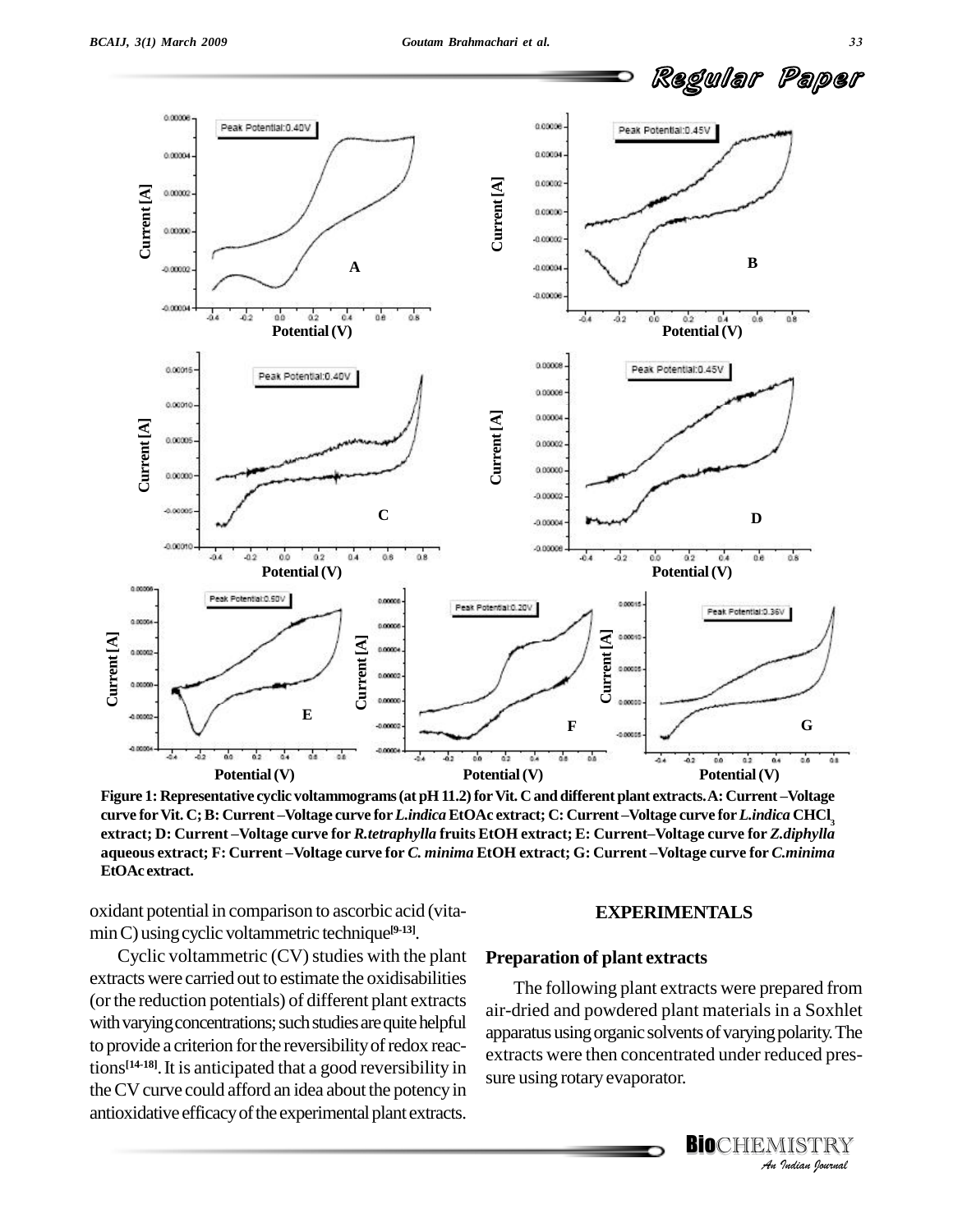

Potential (V)<br>Figure 1: Representative cyclic voltammograms (at pH 11.2) for Vit. C and different plant extracts. A: Current –Voltage<br>curve for Vit. C; B: Current –Voltage curve for *Lindica* EtOAc extract; C: Current –Vol curve for Vit. C; B: Current-Voltage curve for *Lindica* EtOAc extract; C: Current-Voltage curve for *Lindica* CHCl<sub>3</sub><br>extract; D: Current-Voltage curve for *R.tetraphylla* fruits EtOH extract; E: Current-Voltage curve for **EtOAc extract.**

oxidant potential in comparison to ascorbic acid (vita minC) usingcyclic voltammetric technique **[9-13]**.

Cyclic voltammetric  $(CV)$  studies with the plant extracts were carried out to estimate the oxidisabilities (orthe reduction potentials) of different plant extracts with varying concentrations; such studies are quite helpful to provide a criterion for the reversibility of redox reac- $\frac{1}{2}$  tions<sup>[14-18]</sup>. It is anticipated that a good reversibility in the CV curve could afford an idea about the potency in antioxidative efficacy of the experimental plant extracts.

### **EXPERIMENTALS**

### **Preparation of plant extracts**

apparatus using organic solvents of varying polarity. The *polarity.* The<br>duced pres-<br>IISTRY<br><sup>*Indian Iournal*</sup> The following plant extracts were prepared from air-dried and powdered plant materials in a Soxhlet extracts were then concentrated under reduced pres sure using rotary evaporator.

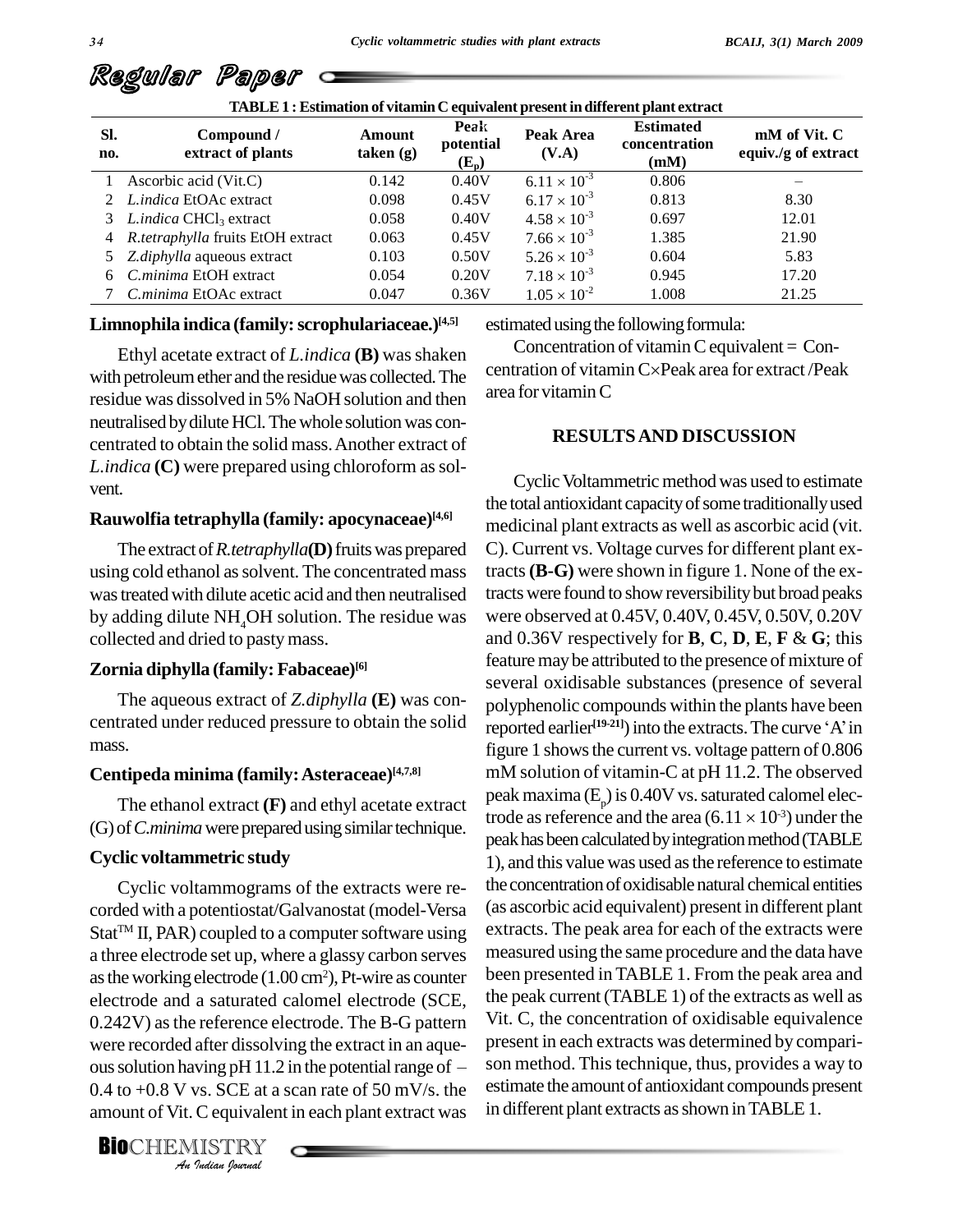| TABLE 1 : Estimation of vitamin C equivalent present in different plant extract |                                            |                     |                              |                       |                                           |                                     |
|---------------------------------------------------------------------------------|--------------------------------------------|---------------------|------------------------------|-----------------------|-------------------------------------------|-------------------------------------|
| SI.<br>no.                                                                      | Compound /<br>extract of plants            | Amount<br>taken (g) | Peak<br>potential<br>$(E_p)$ | Peak Area<br>(V.A)    | <b>Estimated</b><br>concentration<br>(mM) | mM of Vit. C<br>equiv./g of extract |
|                                                                                 | Ascorbic acid (Vit.C)                      | 0.142               | 0.40V                        | $6.11 \times 10^{-3}$ | 0.806                                     |                                     |
|                                                                                 | 2 <i>Lindica</i> EtOAc extract             | 0.098               | 0.45V                        | $6.17 \times 10^{-3}$ | 0.813                                     | 8.30                                |
|                                                                                 | 3 Lindica CHCl <sub>3</sub> extract        | 0.058               | 0.40V                        | $4.58 \times 10^{-3}$ | 0.697                                     | 12.01                               |
|                                                                                 | 4 <i>R.tetraphylla</i> fruits EtOH extract | 0.063               | 0.45V                        | $7.66 \times 10^{-3}$ | 1.385                                     | 21.90                               |
|                                                                                 | 5 Z.diphylla aqueous extract               | 0.103               | 0.50V                        | $5.26 \times 10^{-3}$ | 0.604                                     | 5.83                                |
| 6                                                                               | C.minima EtOH extract                      | 0.054               | 0.20V                        | $7.18 \times 10^{-3}$ | 0.945                                     | 17.20                               |
|                                                                                 | C.minima EtOAc extract                     | 0.047               | 0.36V                        | $1.05 \times 10^{-2}$ | 1.008                                     | 21.25                               |

### **Limnophila indica (family:scrophulariaceae.) [4,5]**

Ethyl acetate extract of *L.indica* (**B**) was shaken with petroleum ether and the residue was collected. The residue was dissolved in 5% NaOH solution and then neutralised by dilute HCl. The whole solution was concentrated to obtain the solid mass.Another extract of *L.indica* (**C**) were prepared using chloroform as solvent.

### **Rauwolfia tetraphylla (family: apocynaceae) [4,6]**

The extract of*R.tetraphylla***(D)**fruitswas prepared using cold ethanol as solvent. The concentrated mass wastreatedwith dilute acetic acid and then neutralised by adding dilute NH<sub>4</sub>OH solution. The residue was collected and dried to pastymass.

### **Zornia diphylla (family: Fabaceae) [6]**

The aqueous extract of *Z.diphylla* **(E)** was con centrated under reduced pressure to obtain the solid mass.

### **Centipeda minima (family:Asteraceae) [4,7,8]**

The ethanol extract **(F)** and ethyl acetate extract (G) of *C.minima* were prepared using similar technique.

#### **Cyclic voltammetric study**

were recorded after dissolving the extract in an aque-<br>
ous solution having pH 11.2 in the potential range of  $-$  son<br>
0.4 to +0.8 V vs. SCE at a scan rate of 50 mV/s. the estin<br>
amount of Vit. C equivalent in each plant Cyclic voltammograms of the extracts were re corded with a potentiostat/Galvanostat (model-Versa  $Stat^{TM}$  II, PAR) coupled to a computer software using a three electrode setup, where a glassy carbon serves as the working electrode  $(1.00 \text{ cm}^2)$ , Pt-wire as counter electrode and a saturated calomel electrode (SCE, 0.242V) asthe reference electrode. The B-G pattern  $0.242V$ ) as the reference electrode. The B-G pattern Vit. C, were recorded after dissolving the extract in an aque-<br>ous solution having pH 11.2 in the potential range of  $-$  son me 0.4 to  $+0.8$  V vs. SCE at a scan rate of 50 mV/s. the amount of Vit.C equivalent in each plant extract was

**BIO**CHEMISTRY

estimated using the following formula:

Concentration of vitamin C equivalent  $=$  Concentration of vitamin C×Peak area for extract /Peak area for vitaminC

## **RESULTSAND DISCUSSION**

Cyclic Voltammetric method was used to estimate the total antioxidant capacity of some traditionally used medicinal plant extracts as well as ascorbic acid (vit. C). Current vs. Voltage curves for different plant extracts**(B-G)** were shown in figure 1. None of the extractswere found to showreversibilitybut broad peaks were observed at 0.45V, 0.40V, 0.45V, 0.50V, 0.20V and 0.36V respectively for **B**, **C**, **D**, **E**, **F** & **G**; this feature may be attributed to the presence of mixture of several oxidisable substances (presence of several polyphenolic compounds within the plants have been several oxidisable substances (presence of several<br>polyphenolic compounds within the plants have been<br>reported earlier<sup>[19-21]</sup>) into the extracts. The curve 'A' in figure 1 shows the current vs. voltage pattern of 0.806 mM solution of vitamin-C at pH 11.2.The observed peak maxima ( $E_p$ ) is 0.40V vs. saturated calomel elecmM solution of vitamin-C at pH 11.2. The observ<br>peak maxima ( $E_p$ ) is 0.40V vs. saturated calomel ele<br>trode as reference and the area (6.11  $\times$  10<sup>-3</sup>) under t trode as reference and the area  $(6.11 \times 10^{-3})$  under the peak has been calculated by integration method (TABLE 1), and this value was used asthe reference to estimate the concentration of oxidisable natural chemical entities (as ascorbic acid equivalent) present in different plant extracts. The peak area for each of the extracts were measured using the same procedure and the data have been presented in TABLE 1. From the peak area and the peak current(TABLE 1) of the extracts as well as Vit. C, the concentration of oxidisable equivalence present in each extracts was determined by compari son method. This technique, thus, provides a way to estimate the amount of antioxidant compounds present in different plant extracts as shown in TABLE 1.

Regular Paper